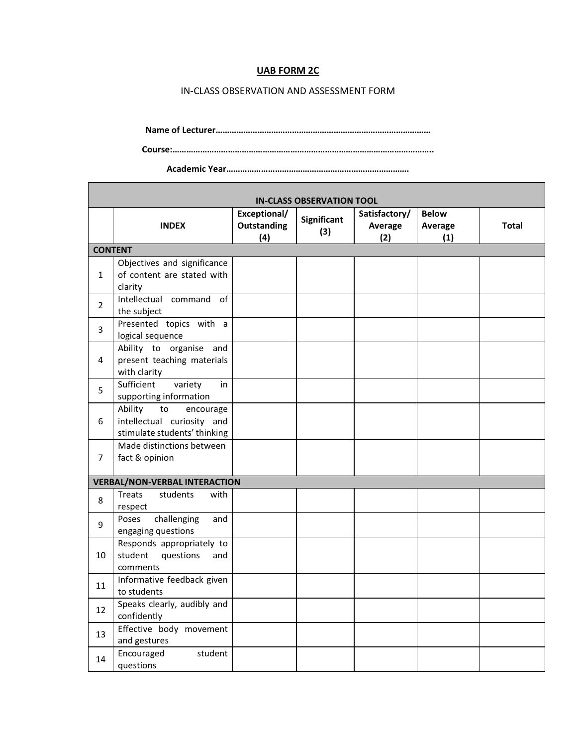## UAB FORM 2C

## IN-CLASS OBSERVATION AND ASSESSMENT FORM

Name of Lecturer…………………………………………………………………………………

Course:…………………………………………………………………………………………………..

Academic Year…………………………………………………………………….

٦

| <b>IN-CLASS OBSERVATION TOOL</b> |                                                                                          |                                           |                           |                                 |                                |       |  |  |  |
|----------------------------------|------------------------------------------------------------------------------------------|-------------------------------------------|---------------------------|---------------------------------|--------------------------------|-------|--|--|--|
|                                  | <b>INDEX</b>                                                                             | Exceptional/<br><b>Outstanding</b><br>(4) | <b>Significant</b><br>(3) | Satisfactory/<br>Average<br>(2) | <b>Below</b><br>Average<br>(1) | Total |  |  |  |
|                                  | <b>CONTENT</b>                                                                           |                                           |                           |                                 |                                |       |  |  |  |
| $\mathbf{1}$                     | Objectives and significance<br>of content are stated with<br>clarity                     |                                           |                           |                                 |                                |       |  |  |  |
| $\overline{2}$                   | Intellectual command of<br>the subject                                                   |                                           |                           |                                 |                                |       |  |  |  |
| 3                                | Presented topics with a<br>logical sequence                                              |                                           |                           |                                 |                                |       |  |  |  |
| 4                                | Ability to organise and<br>present teaching materials<br>with clarity                    |                                           |                           |                                 |                                |       |  |  |  |
| 5                                | Sufficient<br>variety<br>in<br>supporting information                                    |                                           |                           |                                 |                                |       |  |  |  |
| 6                                | Ability<br>to<br>encourage<br>intellectual curiosity and<br>stimulate students' thinking |                                           |                           |                                 |                                |       |  |  |  |
| $\overline{7}$                   | Made distinctions between<br>fact & opinion                                              |                                           |                           |                                 |                                |       |  |  |  |
|                                  | <b>VERBAL/NON-VERBAL INTERACTION</b>                                                     |                                           |                           |                                 |                                |       |  |  |  |
| 8                                | students<br>Treats<br>with<br>respect                                                    |                                           |                           |                                 |                                |       |  |  |  |
| 9                                | challenging<br>Poses<br>and<br>engaging questions                                        |                                           |                           |                                 |                                |       |  |  |  |
| 10                               | Responds appropriately to<br>student<br>questions<br>and<br>comments                     |                                           |                           |                                 |                                |       |  |  |  |
| 11                               | Informative feedback given<br>to students                                                |                                           |                           |                                 |                                |       |  |  |  |
| 12                               | Speaks clearly, audibly and<br>confidently                                               |                                           |                           |                                 |                                |       |  |  |  |
| 13                               | Effective body movement<br>and gestures                                                  |                                           |                           |                                 |                                |       |  |  |  |
| 14                               | Encouraged<br>student<br>questions                                                       |                                           |                           |                                 |                                |       |  |  |  |